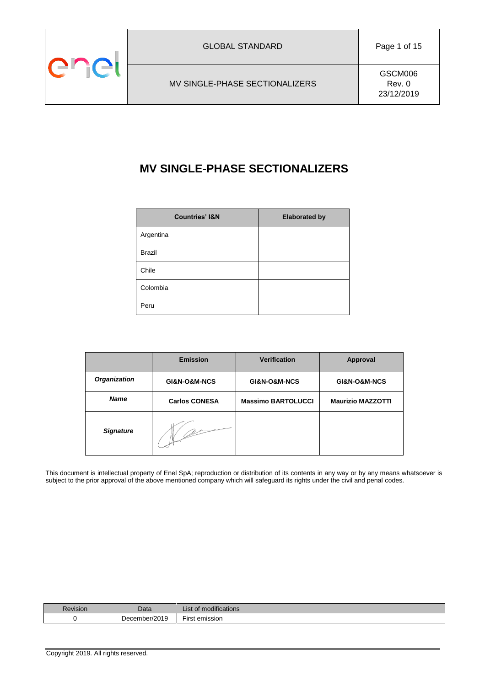

# **MV SINGLE-PHASE SECTIONALIZERS**

| <b>Countries' I&amp;N</b> | <b>Elaborated by</b> |
|---------------------------|----------------------|
| Argentina                 |                      |
| <b>Brazil</b>             |                      |
| Chile                     |                      |
| Colombia                  |                      |
| Peru                      |                      |

|                     | <b>Emission</b>      | <b>Verification</b>       | Approval                 |
|---------------------|----------------------|---------------------------|--------------------------|
| <b>Organization</b> | GI&N-O&M-NCS         | GI&N-O&M-NCS              | GI&N-O&M-NCS             |
| <b>Name</b>         | <b>Carlos CONESA</b> | <b>Massimo BARTOLUCCI</b> | <b>Maurizio MAZZOTTI</b> |
| <b>Signature</b>    |                      |                           |                          |

This document is intellectual property of Enel SpA; reproduction or distribution of its contents in any way or by any means whatsoever is subject to the prior approval of the above mentioned company which will safeguard its rights under the civil and penal codes.

| Revision | Data                   | <br>List of modifications      |
|----------|------------------------|--------------------------------|
|          | December/2019<br>่⊳∪ธเ | $- \cdot$<br>∼ırst<br>emission |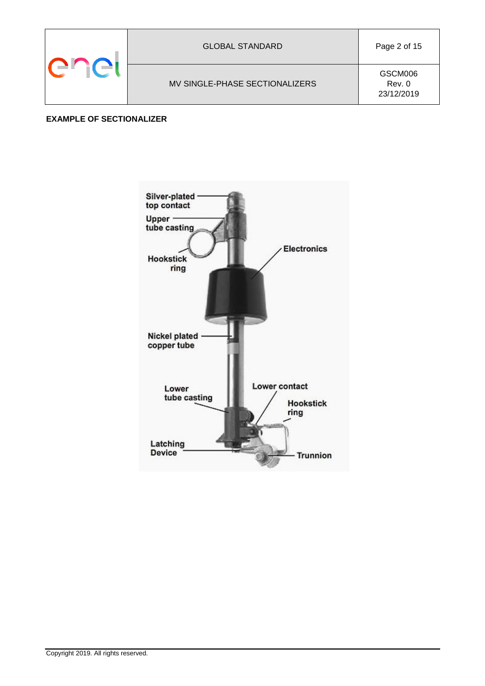|  | <b>GLOBAL STANDARD</b>         | Page 2 of 15                    |
|--|--------------------------------|---------------------------------|
|  | MV SINGLE-PHASE SECTIONALIZERS | GSCM006<br>Rev. 0<br>23/12/2019 |

## **EXAMPLE OF SECTIONALIZER**

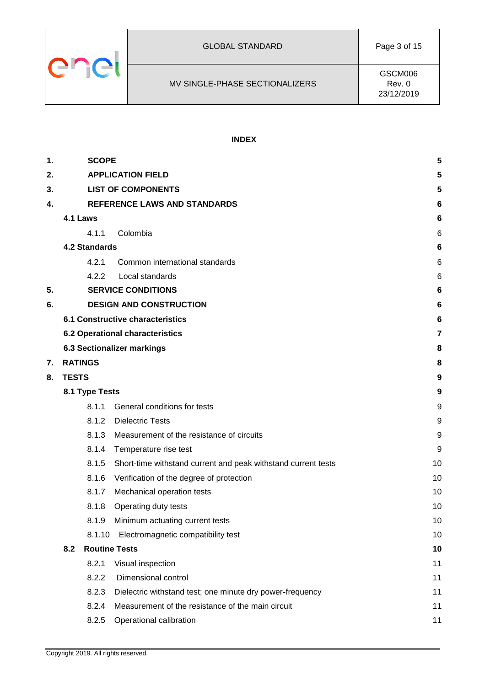

## **INDEX**

| 1. | <b>SCOPE</b>                                                           | 5  |
|----|------------------------------------------------------------------------|----|
| 2. | <b>APPLICATION FIELD</b>                                               | 5  |
| 3. | <b>LIST OF COMPONENTS</b>                                              | 5  |
| 4. | <b>REFERENCE LAWS AND STANDARDS</b>                                    | 6  |
|    | 4.1 Laws                                                               | 6  |
|    | 4.1.1<br>Colombia                                                      | 6  |
|    | <b>4.2 Standards</b>                                                   | 6  |
|    | 4.2.1<br>Common international standards                                | 6  |
|    | 4.2.2<br>Local standards                                               | 6  |
| 5. | <b>SERVICE CONDITIONS</b>                                              | 6  |
| 6. | <b>DESIGN AND CONSTRUCTION</b>                                         | 6  |
|    | <b>6.1 Constructive characteristics</b>                                | 6  |
|    | 6.2 Operational characteristics                                        | 7  |
|    | 6.3 Sectionalizer markings                                             | 8  |
| 7. | <b>RATINGS</b>                                                         | 8  |
| 8. | <b>TESTS</b>                                                           | 9  |
|    | 8.1 Type Tests                                                         | 9  |
|    | 8.1.1<br>General conditions for tests                                  | 9  |
|    | 8.1.2<br><b>Dielectric Tests</b>                                       | 9  |
|    | 8.1.3<br>Measurement of the resistance of circuits                     | 9  |
|    | 8.1.4<br>Temperature rise test                                         | 9  |
|    | 8.1.5<br>Short-time withstand current and peak withstand current tests | 10 |
|    | 8.1.6<br>Verification of the degree of protection                      | 10 |
|    | 8.1.7<br>Mechanical operation tests                                    | 10 |
|    | 8.1.8<br>Operating duty tests                                          | 10 |
|    | Minimum actuating current tests<br>8.1.9                               | 10 |
|    | Electromagnetic compatibility test<br>8.1.10                           | 10 |
|    | <b>Routine Tests</b><br>8.2                                            | 10 |
|    | Visual inspection<br>8.2.1                                             | 11 |
|    | 8.2.2<br>Dimensional control                                           | 11 |
|    | 8.2.3<br>Dielectric withstand test; one minute dry power-frequency     | 11 |
|    | 8.2.4<br>Measurement of the resistance of the main circuit             | 11 |
|    | 8.2.5<br>Operational calibration                                       | 11 |
|    |                                                                        |    |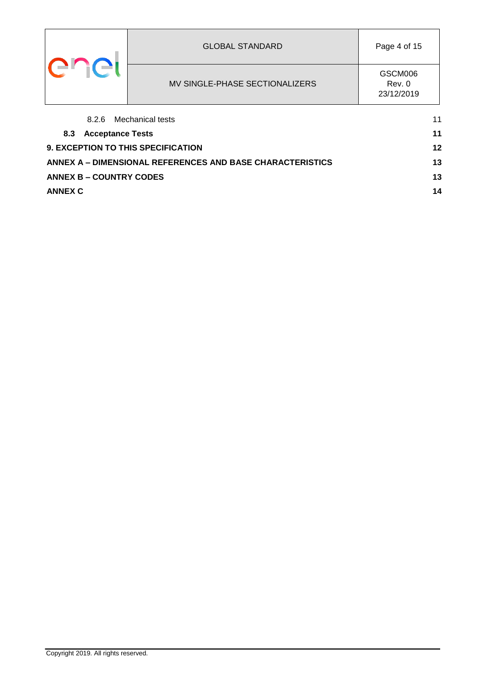|                                | <b>GLOBAL STANDARD</b>                   | Page 4 of 15                    |    |
|--------------------------------|------------------------------------------|---------------------------------|----|
| ∸⊑ i( →l                       | MV SINGLE-PHASE SECTIONALIZERS           | GSCM006<br>Rev. 0<br>23/12/2019 |    |
| 8.2.6                          | Mechanical tests                         |                                 | 11 |
| <b>Acceptance Tests</b><br>8.3 |                                          |                                 | 11 |
|                                | 12<br>9. EXCEPTION TO THIS SPECIFICATION |                                 |    |

| ANNEX A – DIMENSIONAL REFERENCES AND BASE CHARACTERISTICS I |    |
|-------------------------------------------------------------|----|
| <b>ANNEX B – COUNTRY CODES</b>                              |    |
| ANNEX C                                                     | 14 |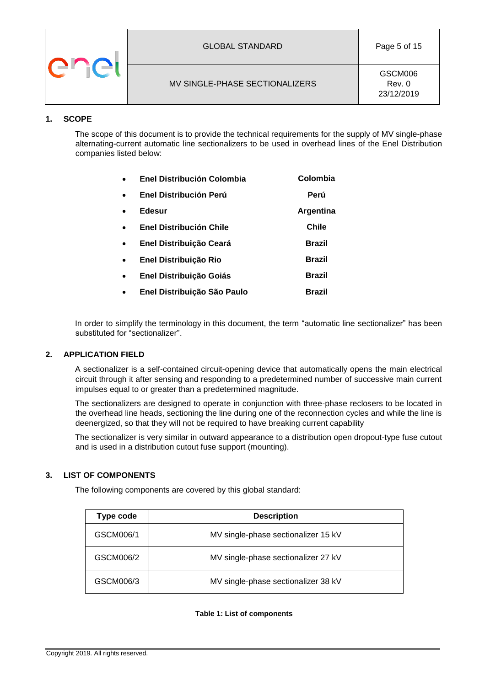|  | <b>GLOBAL STANDARD</b>         | Page 5 of 15                    |
|--|--------------------------------|---------------------------------|
|  | MV SINGLE-PHASE SECTIONALIZERS | GSCM006<br>Rev. 0<br>23/12/2019 |

## <span id="page-4-0"></span>**1. SCOPE**

The scope of this document is to provide the technical requirements for the supply of MV single-phase alternating-current automatic line sectionalizers to be used in overhead lines of the Enel Distribution companies listed below:

| $\bullet$ | Enel Distribución Colombia     | Colombia      |
|-----------|--------------------------------|---------------|
| $\bullet$ | Enel Distribución Perú         | Perú          |
| $\bullet$ | Edesur                         | Argentina     |
| $\bullet$ | <b>Enel Distribución Chile</b> | Chile         |
| $\bullet$ | Enel Distribuição Ceará        | <b>Brazil</b> |
| $\bullet$ | Enel Distribuição Rio          | <b>Brazil</b> |
| $\bullet$ | Enel Distribuição Goiás        | <b>Brazil</b> |
| $\bullet$ | Enel Distribuição São Paulo    | <b>Brazil</b> |

In order to simplify the terminology in this document, the term "automatic line sectionalizer" has been substituted for "sectionalizer".

## <span id="page-4-1"></span>**2. APPLICATION FIELD**

A sectionalizer is a self-contained circuit-opening device that automatically opens the main electrical circuit through it after sensing and responding to a predetermined number of successive main current impulses equal to or greater than a predetermined magnitude.

The sectionalizers are designed to operate in conjunction with three-phase reclosers to be located in the overhead line heads, sectioning the line during one of the reconnection cycles and while the line is deenergized, so that they will not be required to have breaking current capability

The sectionalizer is very similar in outward appearance to a distribution open dropout-type fuse cutout and is used in a distribution cutout fuse support (mounting).

## <span id="page-4-2"></span>**3. LIST OF COMPONENTS**

The following components are covered by this global standard:

| Type code | <b>Description</b>                  |  |
|-----------|-------------------------------------|--|
| GSCM006/1 | MV single-phase sectionalizer 15 kV |  |
| GSCM006/2 | MV single-phase sectionalizer 27 kV |  |
| GSCM006/3 | MV single-phase sectionalizer 38 kV |  |

#### **Table 1: List of components**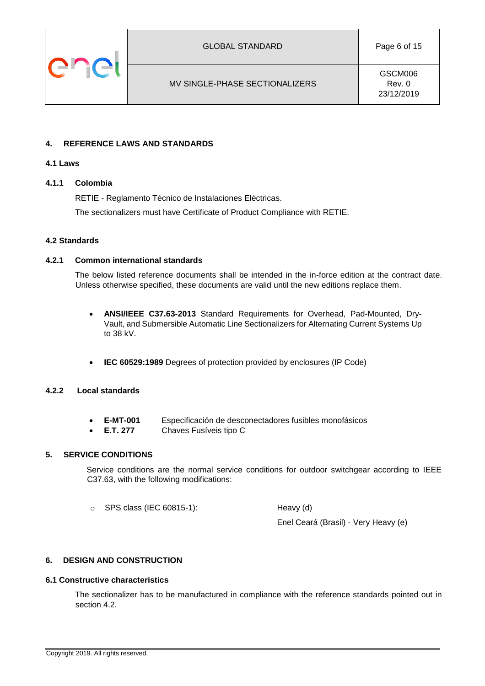

GSCM006 Rev. 0 23/12/2019

## <span id="page-5-0"></span>**4. REFERENCE LAWS AND STANDARDS**

#### <span id="page-5-1"></span>**4.1 Laws**

## <span id="page-5-2"></span>**4.1.1 Colombia**

RETIE - Reglamento Técnico de Instalaciones Eléctricas.

The sectionalizers must have Certificate of Product Compliance with RETIE.

#### <span id="page-5-3"></span>**4.2 Standards**

#### <span id="page-5-4"></span>**4.2.1 Common international standards**

The below listed reference documents shall be intended in the in-force edition at the contract date. Unless otherwise specified, these documents are valid until the new editions replace them.

- **ANSI/IEEE C37.63-2013** Standard Requirements for Overhead, Pad-Mounted, Dry-Vault, and Submersible Automatic Line Sectionalizers for Alternating Current Systems Up to 38 kV.
- **IEC 60529:1989** Degrees of protection provided by enclosures (IP Code)

## <span id="page-5-5"></span>**4.2.2 Local standards**

- **E-MT-001** Especificación de desconectadores fusibles monofásicos
- **E.T. 277** Chaves Fusíveis tipo C

## <span id="page-5-6"></span>**5. SERVICE CONDITIONS**

Service conditions are the normal service conditions for outdoor switchgear according to IEEE C37.63, with the following modifications:

 $\circ$  SPS class (IEC 60815-1): Heavy (d)

Enel Ceará (Brasil) - Very Heavy (e)

## <span id="page-5-7"></span>**6. DESIGN AND CONSTRUCTION**

#### <span id="page-5-8"></span>**6.1 Constructive characteristics**

The sectionalizer has to be manufactured in compliance with the reference standards pointed out in section 4.2.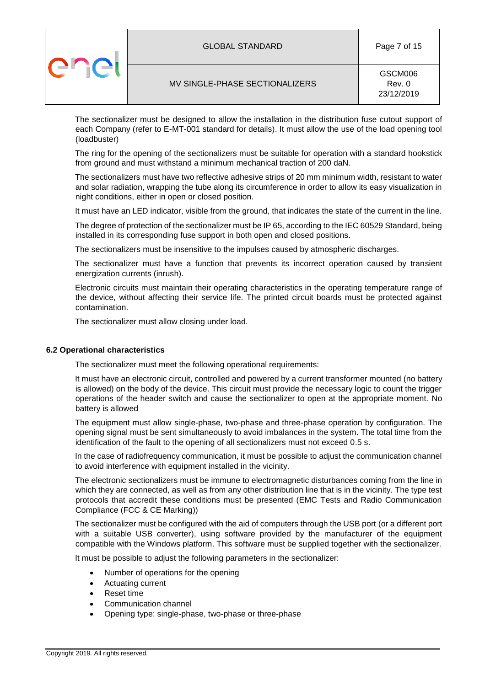|  | <b>GLOBAL STANDARD</b>         | Page 7 of 15                    |
|--|--------------------------------|---------------------------------|
|  | MV SINGLE-PHASE SECTIONALIZERS | GSCM006<br>Rev. 0<br>23/12/2019 |

The sectionalizer must be designed to allow the installation in the distribution fuse cutout support of each Company (refer to E-MT-001 standard for details). It must allow the use of the load opening tool (loadbuster)

The ring for the opening of the sectionalizers must be suitable for operation with a standard hookstick from ground and must withstand a minimum mechanical traction of 200 daN.

The sectionalizers must have two reflective adhesive strips of 20 mm minimum width, resistant to water and solar radiation, wrapping the tube along its circumference in order to allow its easy visualization in night conditions, either in open or closed position.

It must have an LED indicator, visible from the ground, that indicates the state of the current in the line.

The degree of protection of the sectionalizer must be IP 65, according to the IEC 60529 Standard, being installed in its corresponding fuse support in both open and closed positions.

The sectionalizers must be insensitive to the impulses caused by atmospheric discharges.

The sectionalizer must have a function that prevents its incorrect operation caused by transient energization currents (inrush).

Electronic circuits must maintain their operating characteristics in the operating temperature range of the device, without affecting their service life. The printed circuit boards must be protected against contamination.

The sectionalizer must allow closing under load.

#### <span id="page-6-0"></span>**6.2 Operational characteristics**

The sectionalizer must meet the following operational requirements:

It must have an electronic circuit, controlled and powered by a current transformer mounted (no battery is allowed) on the body of the device. This circuit must provide the necessary logic to count the trigger operations of the header switch and cause the sectionalizer to open at the appropriate moment. No battery is allowed

The equipment must allow single-phase, two-phase and three-phase operation by configuration. The opening signal must be sent simultaneously to avoid imbalances in the system. The total time from the identification of the fault to the opening of all sectionalizers must not exceed 0.5 s.

In the case of radiofrequency communication, it must be possible to adjust the communication channel to avoid interference with equipment installed in the vicinity.

The electronic sectionalizers must be immune to electromagnetic disturbances coming from the line in which they are connected, as well as from any other distribution line that is in the vicinity. The type test protocols that accredit these conditions must be presented (EMC Tests and Radio Communication Compliance (FCC & CE Marking))

The sectionalizer must be configured with the aid of computers through the USB port (or a different port with a suitable USB converter), using software provided by the manufacturer of the equipment compatible with the Windows platform. This software must be supplied together with the sectionalizer.

It must be possible to adjust the following parameters in the sectionalizer:

- Number of operations for the opening
- Actuating current
- Reset time
- Communication channel
- Opening type: single-phase, two-phase or three-phase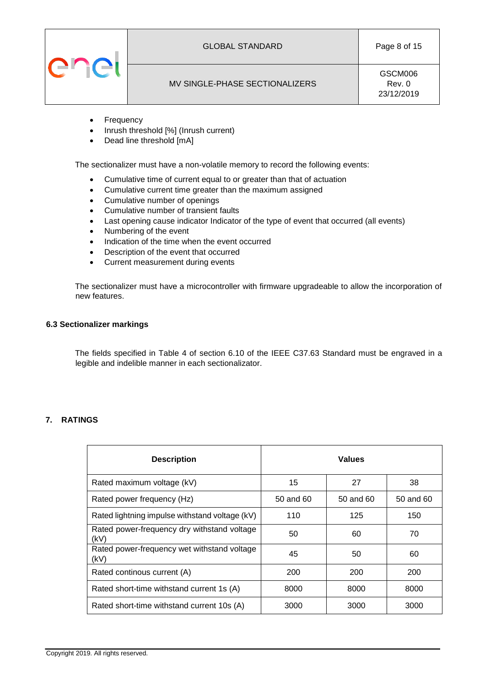

## MV SINGLE-PHASE SECTIONALIZERS

GSCM006 Rev. 0 23/12/2019

- Frequency
- Inrush threshold [%] (Inrush current)
- Dead line threshold [mA]

The sectionalizer must have a non-volatile memory to record the following events:

- Cumulative time of current equal to or greater than that of actuation
- Cumulative current time greater than the maximum assigned
- Cumulative number of openings
- Cumulative number of transient faults
- Last opening cause indicator Indicator of the type of event that occurred (all events)
- Numbering of the event
- Indication of the time when the event occurred
- Description of the event that occurred
- Current measurement during events

The sectionalizer must have a microcontroller with firmware upgradeable to allow the incorporation of new features.

#### <span id="page-7-0"></span>**6.3 Sectionalizer markings**

The fields specified in Table 4 of section 6.10 of the IEEE C37.63 Standard must be engraved in a legible and indelible manner in each sectionalizator.

## <span id="page-7-1"></span>**7. RATINGS**

| <b>Description</b>                                  | <b>Values</b> |           |           |
|-----------------------------------------------------|---------------|-----------|-----------|
| Rated maximum voltage (kV)                          | 15            | 27        | 38        |
| Rated power frequency (Hz)                          | 50 and 60     | 50 and 60 | 50 and 60 |
| Rated lightning impulse withstand voltage (kV)      | 110           | 125       | 150       |
| Rated power-frequency dry withstand voltage<br>(kV) | 50            | 60        | 70        |
| Rated power-frequency wet withstand voltage<br>(kV) | 45            | 50        | 60        |
| Rated continous current (A)                         | 200           | 200       | 200       |
| Rated short-time withstand current 1s (A)           | 8000          | 8000      | 8000      |
| Rated short-time withstand current 10s (A)          | 3000          | 3000      | 3000      |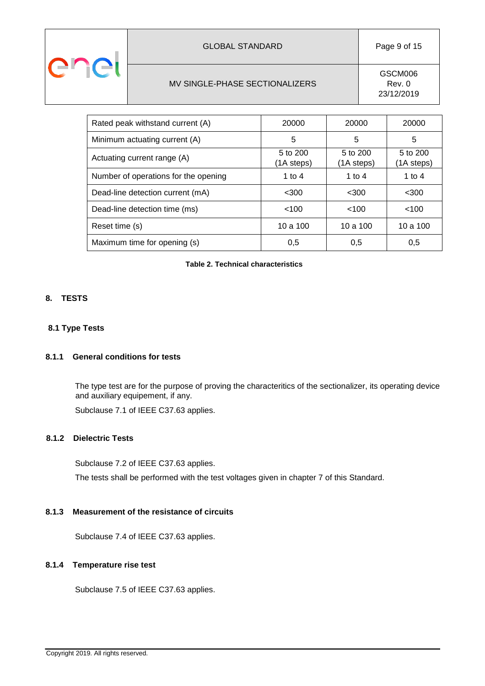|                                                                   |  | <b>GLOBAL STANDARD</b> | Page 9 of 15 |
|-------------------------------------------------------------------|--|------------------------|--------------|
| GSCM006<br>MV SINGLE-PHASE SECTIONALIZERS<br>Rev. 0<br>23/12/2019 |  |                        |              |

| Rated peak withstand current (A)     | 20000                  | 20000                  | 20000                  |
|--------------------------------------|------------------------|------------------------|------------------------|
| Minimum actuating current (A)        | 5                      | 5                      | 5                      |
| Actuating current range (A)          | 5 to 200<br>(1A steps) | 5 to 200<br>(1A steps) | 5 to 200<br>(1A steps) |
| Number of operations for the opening | 1 to 4                 | 1 to 4                 | 1 to 4                 |
| Dead-line detection current (mA)     | $<$ 300                | $<$ 300                | $300$                  |
| Dead-line detection time (ms)        | < 100                  | < 100                  | < 100                  |
| Reset time (s)                       | 10a100                 | 10a100                 | 10a100                 |
| Maximum time for opening (s)         | 0,5                    | 0,5                    | 0,5                    |

**Table 2. Technical characteristics**

## <span id="page-8-0"></span>**8. TESTS**

## <span id="page-8-1"></span>**8.1 Type Tests**

## <span id="page-8-2"></span>**8.1.1 General conditions for tests**

The type test are for the purpose of proving the characteritics of the sectionalizer, its operating device and auxiliary equipement, if any.

Subclause 7.1 of IEEE C37.63 applies.

# <span id="page-8-3"></span>**8.1.2 Dielectric Tests**

Subclause 7.2 of IEEE C37.63 applies. The tests shall be performed with the test voltages given in chapter 7 of this Standard.

## <span id="page-8-4"></span>**8.1.3 Measurement of the resistance of circuits**

Subclause 7.4 of IEEE C37.63 applies.

## <span id="page-8-5"></span>**8.1.4 Temperature rise test**

Subclause 7.5 of IEEE C37.63 applies.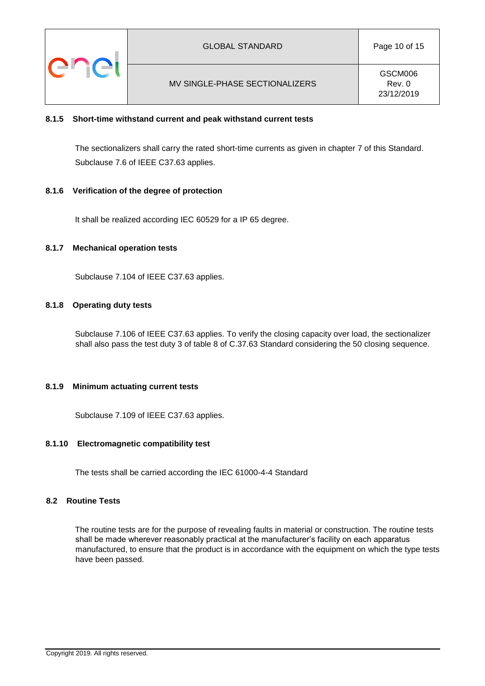

#### <span id="page-9-0"></span>**8.1.5 Short-time withstand current and peak withstand current tests**

The sectionalizers shall carry the rated short-time currents as given in chapter 7 of this Standard. Subclause 7.6 of IEEE C37.63 applies.

#### <span id="page-9-1"></span>**8.1.6 Verification of the degree of protection**

It shall be realized according IEC 60529 for a IP 65 degree.

#### <span id="page-9-2"></span>**8.1.7 Mechanical operation tests**

Subclause 7.104 of IEEE C37.63 applies.

#### <span id="page-9-3"></span>**8.1.8 Operating duty tests**

Subclause 7.106 of IEEE C37.63 applies. To verify the closing capacity over load, the sectionalizer shall also pass the test duty 3 of table 8 of C.37.63 Standard considering the 50 closing sequence.

#### <span id="page-9-4"></span>**8.1.9 Minimum actuating current tests**

Subclause 7.109 of IEEE C37.63 applies.

#### <span id="page-9-5"></span>**8.1.10 Electromagnetic compatibility test**

The tests shall be carried according the IEC 61000-4-4 Standard

#### <span id="page-9-6"></span>**8.2 Routine Tests**

The routine tests are for the purpose of revealing faults in material or construction. The routine tests shall be made wherever reasonably practical at the manufacturer's facility on each apparatus manufactured, to ensure that the product is in accordance with the equipment on which the type tests have been passed.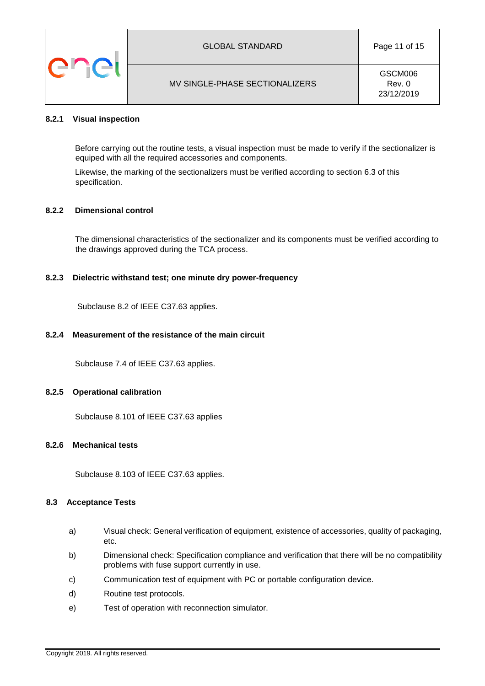

#### <span id="page-10-0"></span>**8.2.1 Visual inspection**

Before carrying out the routine tests, a visual inspection must be made to verify if the sectionalizer is equiped with all the required accessories and components.

Likewise, the marking of the sectionalizers must be verified according to section 6.3 of this specification.

#### <span id="page-10-1"></span>**8.2.2 Dimensional control**

The dimensional characteristics of the sectionalizer and its components must be verified according to the drawings approved during the TCA process.

#### <span id="page-10-2"></span>**8.2.3 Dielectric withstand test; one minute dry power-frequency**

Subclause 8.2 of IEEE C37.63 applies.

#### <span id="page-10-3"></span>**8.2.4 Measurement of the resistance of the main circuit**

Subclause 7.4 of IEEE C37.63 applies.

#### <span id="page-10-4"></span>**8.2.5 Operational calibration**

Subclause 8.101 of IEEE C37.63 applies

#### <span id="page-10-5"></span>**8.2.6 Mechanical tests**

Subclause 8.103 of IEEE C37.63 applies.

#### <span id="page-10-6"></span>**8.3 Acceptance Tests**

- a) Visual check: General verification of equipment, existence of accessories, quality of packaging, etc.
- b) Dimensional check: Specification compliance and verification that there will be no compatibility problems with fuse support currently in use.
- c) Communication test of equipment with PC or portable configuration device.
- d) Routine test protocols.
- e) Test of operation with reconnection simulator.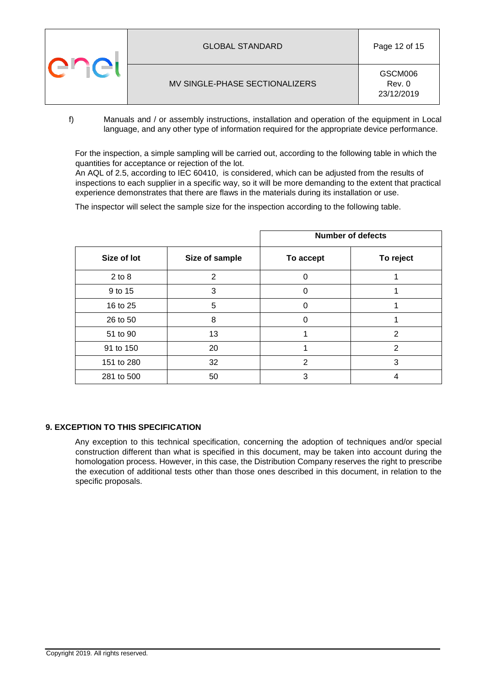|  | <b>GLOBAL STANDARD</b>         | Page 12 of 15                   |  |
|--|--------------------------------|---------------------------------|--|
|  | MV SINGLE-PHASE SECTIONALIZERS | GSCM006<br>Rev. 0<br>23/12/2019 |  |

f) Manuals and / or assembly instructions, installation and operation of the equipment in Local language, and any other type of information required for the appropriate device performance.

For the inspection, a simple sampling will be carried out, according to the following table in which the quantities for acceptance or rejection of the lot.

An AQL of 2.5, according to IEC 60410, is considered, which can be adjusted from the results of inspections to each supplier in a specific way, so it will be more demanding to the extent that practical experience demonstrates that there are flaws in the materials during its installation or use.

The inspector will select the sample size for the inspection according to the following table.

|             |                | <b>Number of defects</b> |               |  |
|-------------|----------------|--------------------------|---------------|--|
| Size of lot | Size of sample | To accept                | To reject     |  |
| $2$ to $8$  | 2              | $\Omega$                 |               |  |
| 9 to 15     | 3              | $\Omega$                 |               |  |
| 16 to 25    | 5              | $\Omega$                 |               |  |
| 26 to 50    | 8              | $\Omega$                 |               |  |
| 51 to 90    | 13             |                          | $\mathcal{P}$ |  |
| 91 to 150   | 20             |                          | 2             |  |
| 151 to 280  | 32             | $\overline{2}$           | 3             |  |
| 281 to 500  | 50             | 3                        |               |  |

## <span id="page-11-0"></span>**9. EXCEPTION TO THIS SPECIFICATION**

Any exception to this technical specification, concerning the adoption of techniques and/or special construction different than what is specified in this document, may be taken into account during the homologation process. However, in this case, the Distribution Company reserves the right to prescribe the execution of additional tests other than those ones described in this document, in relation to the specific proposals.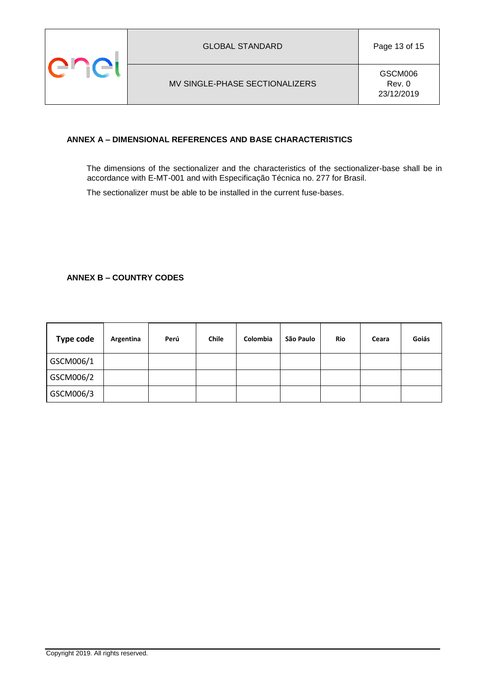

## <span id="page-12-0"></span>**ANNEX A – DIMENSIONAL REFERENCES AND BASE CHARACTERISTICS**

The dimensions of the sectionalizer and the characteristics of the sectionalizer-base shall be in accordance with E-MT-001 and with Especificação Técnica no. 277 for Brasil.

The sectionalizer must be able to be installed in the current fuse-bases.

## <span id="page-12-1"></span>**ANNEX B – COUNTRY CODES**

| <b>Type code</b> | Argentina | Perú | <b>Chile</b> | Colombia | São Paulo | <b>Rio</b> | Ceara | Goiás |
|------------------|-----------|------|--------------|----------|-----------|------------|-------|-------|
| GSCM006/1        |           |      |              |          |           |            |       |       |
| GSCM006/2        |           |      |              |          |           |            |       |       |
| GSCM006/3        |           |      |              |          |           |            |       |       |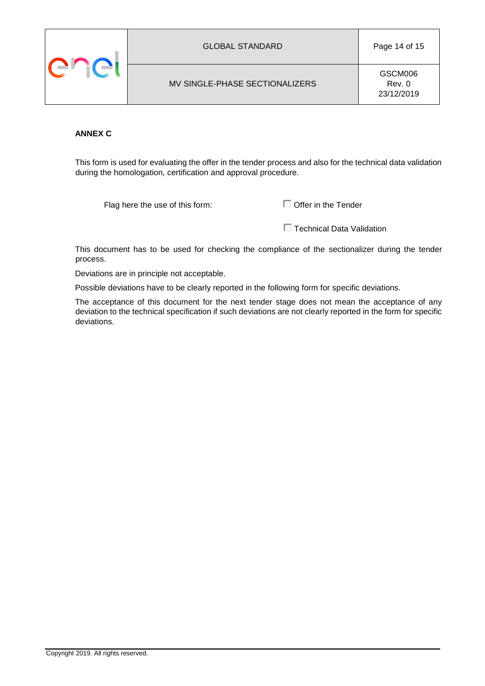

MV SINGLE-PHASE SECTIONALIZERS

## <span id="page-13-0"></span>**ANNEX C**

This form is used for evaluating the offer in the tender process and also for the technical data validation during the homologation, certification and approval procedure.

Flag here the use of this form:  $\Box$  Offer in the Tender

**Technical Data Validation** 

This document has to be used for checking the compliance of the sectionalizer during the tender process.

Deviations are in principle not acceptable.

Possible deviations have to be clearly reported in the following form for specific deviations.

The acceptance of this document for the next tender stage does not mean the acceptance of any deviation to the technical specification if such deviations are not clearly reported in the form for specific deviations.